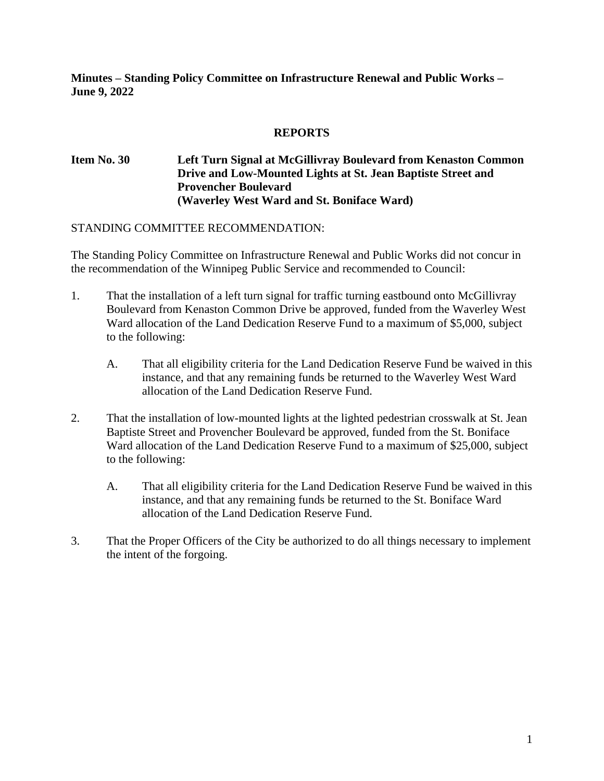## **REPORTS**

# **Item No. 30 Left Turn Signal at McGillivray Boulevard from Kenaston Common Drive and Low-Mounted Lights at St. Jean Baptiste Street and Provencher Boulevard (Waverley West Ward and St. Boniface Ward)**

## STANDING COMMITTEE RECOMMENDATION:

The Standing Policy Committee on Infrastructure Renewal and Public Works did not concur in the recommendation of the Winnipeg Public Service and recommended to Council:

- 1. That the installation of a left turn signal for traffic turning eastbound onto McGillivray Boulevard from Kenaston Common Drive be approved, funded from the Waverley West Ward allocation of the Land Dedication Reserve Fund to a maximum of \$5,000, subject to the following:
	- A. That all eligibility criteria for the Land Dedication Reserve Fund be waived in this instance, and that any remaining funds be returned to the Waverley West Ward allocation of the Land Dedication Reserve Fund.
- 2. That the installation of low-mounted lights at the lighted pedestrian crosswalk at St. Jean Baptiste Street and Provencher Boulevard be approved, funded from the St. Boniface Ward allocation of the Land Dedication Reserve Fund to a maximum of \$25,000, subject to the following:
	- A. That all eligibility criteria for the Land Dedication Reserve Fund be waived in this instance, and that any remaining funds be returned to the St. Boniface Ward allocation of the Land Dedication Reserve Fund.
- 3. That the Proper Officers of the City be authorized to do all things necessary to implement the intent of the forgoing.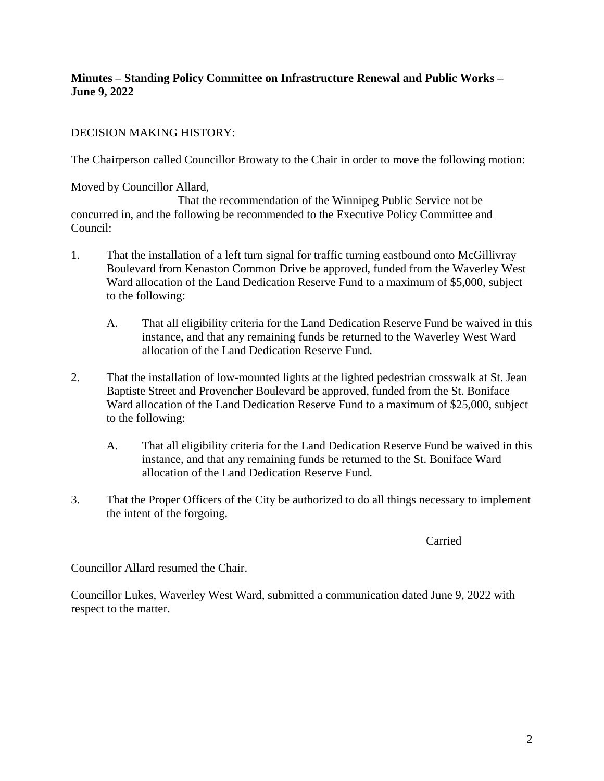# DECISION MAKING HISTORY:

The Chairperson called Councillor Browaty to the Chair in order to move the following motion:

Moved by Councillor Allard,

That the recommendation of the Winnipeg Public Service not be concurred in, and the following be recommended to the Executive Policy Committee and Council:

- 1. That the installation of a left turn signal for traffic turning eastbound onto McGillivray Boulevard from Kenaston Common Drive be approved, funded from the Waverley West Ward allocation of the Land Dedication Reserve Fund to a maximum of \$5,000, subject to the following:
	- A. That all eligibility criteria for the Land Dedication Reserve Fund be waived in this instance, and that any remaining funds be returned to the Waverley West Ward allocation of the Land Dedication Reserve Fund.
- 2. That the installation of low-mounted lights at the lighted pedestrian crosswalk at St. Jean Baptiste Street and Provencher Boulevard be approved, funded from the St. Boniface Ward allocation of the Land Dedication Reserve Fund to a maximum of \$25,000, subject to the following:
	- A. That all eligibility criteria for the Land Dedication Reserve Fund be waived in this instance, and that any remaining funds be returned to the St. Boniface Ward allocation of the Land Dedication Reserve Fund.
- 3. That the Proper Officers of the City be authorized to do all things necessary to implement the intent of the forgoing.

Carried

Councillor Allard resumed the Chair.

Councillor Lukes, Waverley West Ward, submitted a communication dated June 9, 2022 with respect to the matter.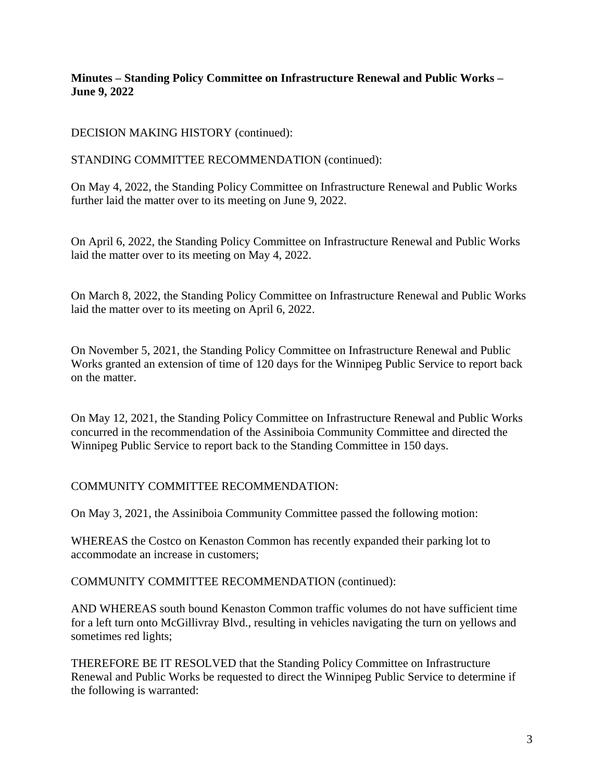DECISION MAKING HISTORY (continued):

STANDING COMMITTEE RECOMMENDATION (continued):

On May 4, 2022, the Standing Policy Committee on Infrastructure Renewal and Public Works further laid the matter over to its meeting on June 9, 2022.

On April 6, 2022, the Standing Policy Committee on Infrastructure Renewal and Public Works laid the matter over to its meeting on May 4, 2022.

On March 8, 2022, the Standing Policy Committee on Infrastructure Renewal and Public Works laid the matter over to its meeting on April 6, 2022.

On November 5, 2021, the Standing Policy Committee on Infrastructure Renewal and Public Works granted an extension of time of 120 days for the Winnipeg Public Service to report back on the matter.

On May 12, 2021, the Standing Policy Committee on Infrastructure Renewal and Public Works concurred in the recommendation of the Assiniboia Community Committee and directed the Winnipeg Public Service to report back to the Standing Committee in 150 days.

## COMMUNITY COMMITTEE RECOMMENDATION:

On May 3, 2021, the Assiniboia Community Committee passed the following motion:

WHEREAS the Costco on Kenaston Common has recently expanded their parking lot to accommodate an increase in customers;

COMMUNITY COMMITTEE RECOMMENDATION (continued):

AND WHEREAS south bound Kenaston Common traffic volumes do not have sufficient time for a left turn onto McGillivray Blvd., resulting in vehicles navigating the turn on yellows and sometimes red lights;

THEREFORE BE IT RESOLVED that the Standing Policy Committee on Infrastructure Renewal and Public Works be requested to direct the Winnipeg Public Service to determine if the following is warranted: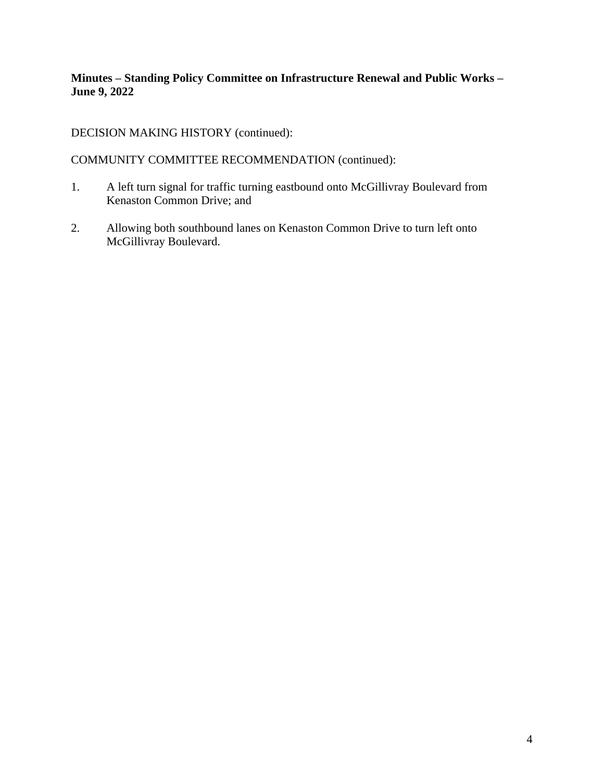# DECISION MAKING HISTORY (continued):

COMMUNITY COMMITTEE RECOMMENDATION (continued):

- 1. A left turn signal for traffic turning eastbound onto McGillivray Boulevard from Kenaston Common Drive; and
- 2. Allowing both southbound lanes on Kenaston Common Drive to turn left onto McGillivray Boulevard.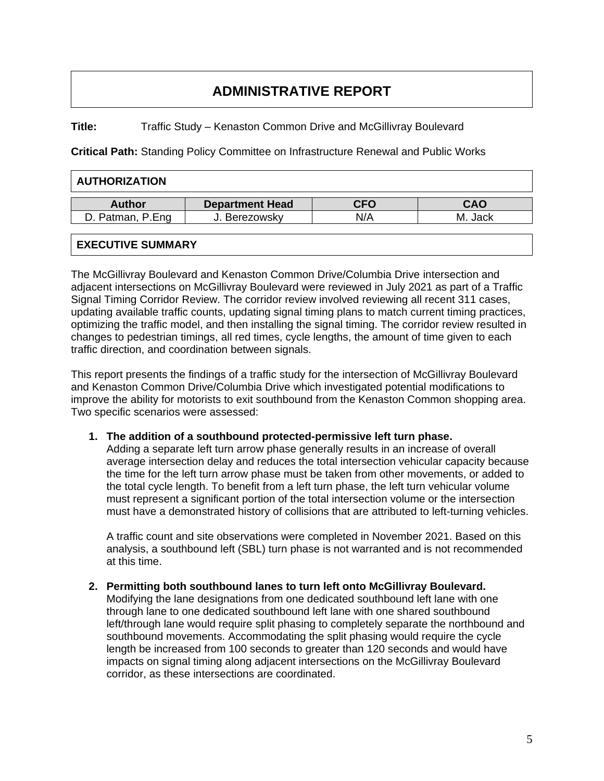# **ADMINISTRATIVE REPORT**

**Title:** Traffic Study – Kenaston Common Drive and McGillivray Boulevard

**Critical Path:** Standing Policy Committee on Infrastructure Renewal and Public Works

| <b>AUTHORIZATION</b>   |            |            |  |  |  |  |  |  |  |
|------------------------|------------|------------|--|--|--|--|--|--|--|
| <b>Department Head</b> | <b>CFO</b> | <b>CAO</b> |  |  |  |  |  |  |  |
| J. Berezowsky          | N/A        | M. Jack    |  |  |  |  |  |  |  |
|                        |            |            |  |  |  |  |  |  |  |

## **EXECUTIVE SUMMARY**

The McGillivray Boulevard and Kenaston Common Drive/Columbia Drive intersection and adjacent intersections on McGillivray Boulevard were reviewed in July 2021 as part of a Traffic Signal Timing Corridor Review. The corridor review involved reviewing all recent 311 cases, updating available traffic counts, updating signal timing plans to match current timing practices, optimizing the traffic model, and then installing the signal timing. The corridor review resulted in changes to pedestrian timings, all red times, cycle lengths, the amount of time given to each traffic direction, and coordination between signals.

This report presents the findings of a traffic study for the intersection of McGillivray Boulevard and Kenaston Common Drive/Columbia Drive which investigated potential modifications to improve the ability for motorists to exit southbound from the Kenaston Common shopping area. Two specific scenarios were assessed:

#### **1. The addition of a southbound protected-permissive left turn phase.**

Adding a separate left turn arrow phase generally results in an increase of overall average intersection delay and reduces the total intersection vehicular capacity because the time for the left turn arrow phase must be taken from other movements, or added to the total cycle length. To benefit from a left turn phase, the left turn vehicular volume must represent a significant portion of the total intersection volume or the intersection must have a demonstrated history of collisions that are attributed to left-turning vehicles.

A traffic count and site observations were completed in November 2021. Based on this analysis, a southbound left (SBL) turn phase is not warranted and is not recommended at this time.

## **2. Permitting both southbound lanes to turn left onto McGillivray Boulevard.**

Modifying the lane designations from one dedicated southbound left lane with one through lane to one dedicated southbound left lane with one shared southbound left/through lane would require split phasing to completely separate the northbound and southbound movements. Accommodating the split phasing would require the cycle length be increased from 100 seconds to greater than 120 seconds and would have impacts on signal timing along adjacent intersections on the McGillivray Boulevard corridor, as these intersections are coordinated.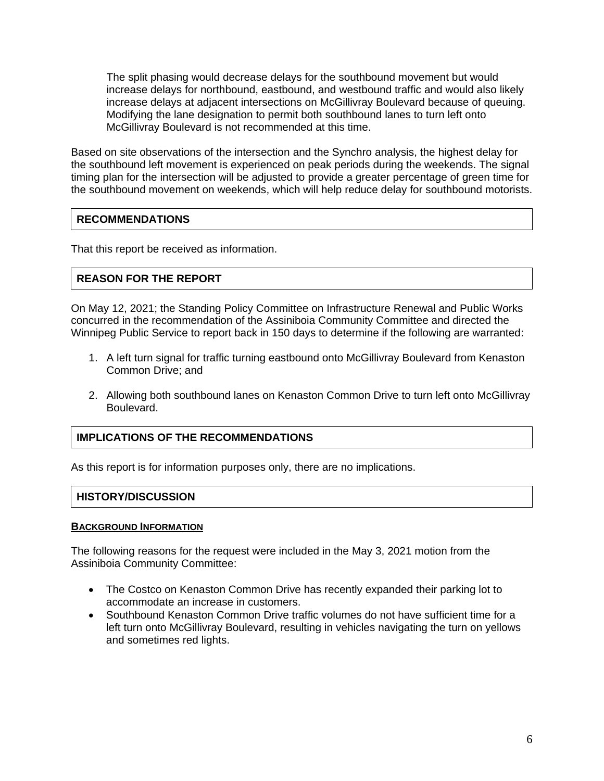The split phasing would decrease delays for the southbound movement but would increase delays for northbound, eastbound, and westbound traffic and would also likely increase delays at adjacent intersections on McGillivray Boulevard because of queuing. Modifying the lane designation to permit both southbound lanes to turn left onto McGillivray Boulevard is not recommended at this time.

Based on site observations of the intersection and the Synchro analysis, the highest delay for the southbound left movement is experienced on peak periods during the weekends. The signal timing plan for the intersection will be adjusted to provide a greater percentage of green time for the southbound movement on weekends, which will help reduce delay for southbound motorists.

## **RECOMMENDATIONS**

That this report be received as information.

## **REASON FOR THE REPORT**

On May 12, 2021; the Standing Policy Committee on Infrastructure Renewal and Public Works concurred in the recommendation of the Assiniboia Community Committee and directed the Winnipeg Public Service to report back in 150 days to determine if the following are warranted:

- 1. A left turn signal for traffic turning eastbound onto McGillivray Boulevard from Kenaston Common Drive; and
- 2. Allowing both southbound lanes on Kenaston Common Drive to turn left onto McGillivray Boulevard.

## **IMPLICATIONS OF THE RECOMMENDATIONS**

As this report is for information purposes only, there are no implications.

#### **HISTORY/DISCUSSION**

#### **BACKGROUND INFORMATION**

The following reasons for the request were included in the May 3, 2021 motion from the Assiniboia Community Committee:

- The Costco on Kenaston Common Drive has recently expanded their parking lot to accommodate an increase in customers.
- Southbound Kenaston Common Drive traffic volumes do not have sufficient time for a left turn onto McGillivray Boulevard, resulting in vehicles navigating the turn on yellows and sometimes red lights.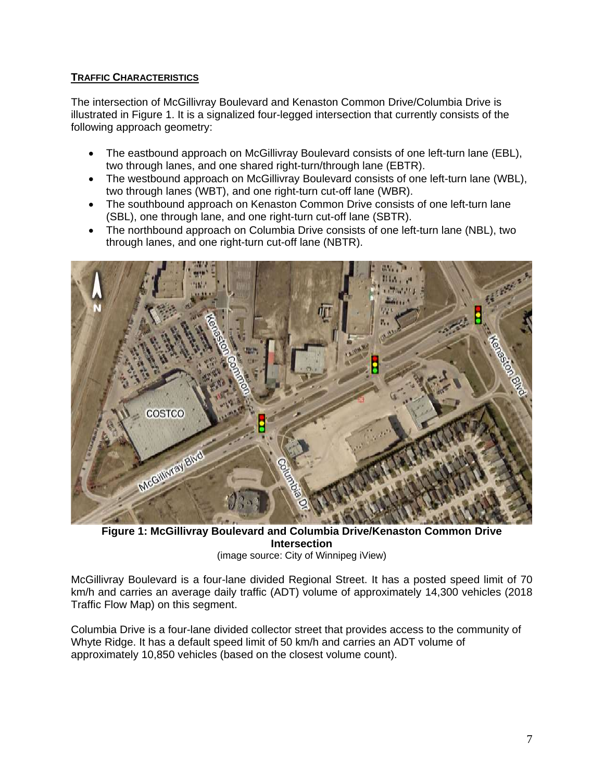# **TRAFFIC CHARACTERISTICS**

The intersection of McGillivray Boulevard and Kenaston Common Drive/Columbia Drive is illustrated in Figure 1. It is a signalized four-legged intersection that currently consists of the following approach geometry:

- The eastbound approach on McGillivray Boulevard consists of one left-turn lane (EBL), two through lanes, and one shared right-turn/through lane (EBTR).
- The westbound approach on McGillivray Boulevard consists of one left-turn lane (WBL), two through lanes (WBT), and one right-turn cut-off lane (WBR).
- The southbound approach on Kenaston Common Drive consists of one left-turn lane (SBL), one through lane, and one right-turn cut-off lane (SBTR).
- The northbound approach on Columbia Drive consists of one left-turn lane (NBL), two through lanes, and one right-turn cut-off lane (NBTR).



**Figure 1: McGillivray Boulevard and Columbia Drive/Kenaston Common Drive Intersection** (image source: City of Winnipeg iView)

McGillivray Boulevard is a four-lane divided Regional Street. It has a posted speed limit of 70 km/h and carries an average daily traffic (ADT) volume of approximately 14,300 vehicles (2018 Traffic Flow Map) on this segment.

Columbia Drive is a four-lane divided collector street that provides access to the community of Whyte Ridge. It has a default speed limit of 50 km/h and carries an ADT volume of approximately 10,850 vehicles (based on the closest volume count).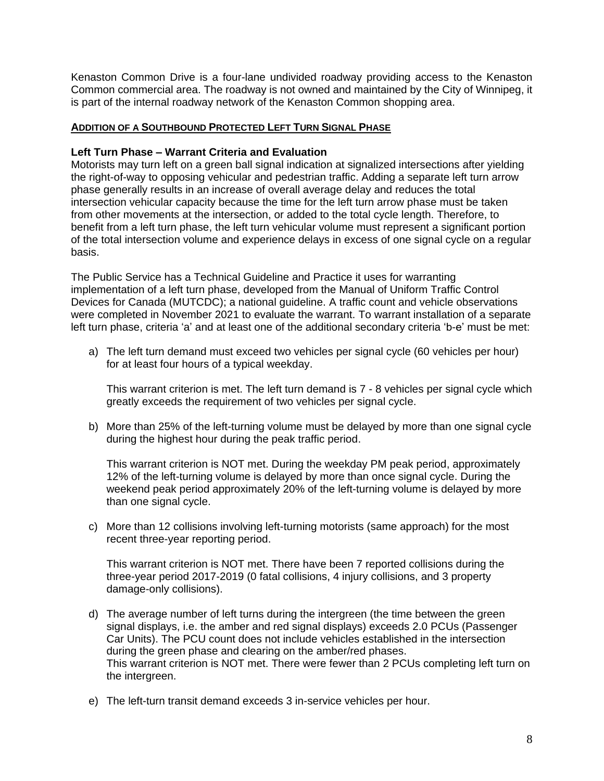Kenaston Common Drive is a four-lane undivided roadway providing access to the Kenaston Common commercial area. The roadway is not owned and maintained by the City of Winnipeg, it is part of the internal roadway network of the Kenaston Common shopping area.

## **ADDITION OF A SOUTHBOUND PROTECTED LEFT TURN SIGNAL PHASE**

## **Left Turn Phase – Warrant Criteria and Evaluation**

Motorists may turn left on a green ball signal indication at signalized intersections after yielding the right-of-way to opposing vehicular and pedestrian traffic. Adding a separate left turn arrow phase generally results in an increase of overall average delay and reduces the total intersection vehicular capacity because the time for the left turn arrow phase must be taken from other movements at the intersection, or added to the total cycle length. Therefore, to benefit from a left turn phase, the left turn vehicular volume must represent a significant portion of the total intersection volume and experience delays in excess of one signal cycle on a regular basis.

The Public Service has a Technical Guideline and Practice it uses for warranting implementation of a left turn phase, developed from the Manual of Uniform Traffic Control Devices for Canada (MUTCDC); a national guideline. A traffic count and vehicle observations were completed in November 2021 to evaluate the warrant. To warrant installation of a separate left turn phase, criteria 'a' and at least one of the additional secondary criteria 'b-e' must be met:

a) The left turn demand must exceed two vehicles per signal cycle (60 vehicles per hour) for at least four hours of a typical weekday.

This warrant criterion is met. The left turn demand is 7 - 8 vehicles per signal cycle which greatly exceeds the requirement of two vehicles per signal cycle.

b) More than 25% of the left-turning volume must be delayed by more than one signal cycle during the highest hour during the peak traffic period.

This warrant criterion is NOT met. During the weekday PM peak period, approximately 12% of the left-turning volume is delayed by more than once signal cycle. During the weekend peak period approximately 20% of the left-turning volume is delayed by more than one signal cycle.

c) More than 12 collisions involving left-turning motorists (same approach) for the most recent three-year reporting period.

This warrant criterion is NOT met. There have been 7 reported collisions during the three-year period 2017-2019 (0 fatal collisions, 4 injury collisions, and 3 property damage-only collisions).

- d) The average number of left turns during the intergreen (the time between the green signal displays, i.e. the amber and red signal displays) exceeds 2.0 PCUs (Passenger Car Units). The PCU count does not include vehicles established in the intersection during the green phase and clearing on the amber/red phases. This warrant criterion is NOT met. There were fewer than 2 PCUs completing left turn on the intergreen.
- e) The left-turn transit demand exceeds 3 in-service vehicles per hour.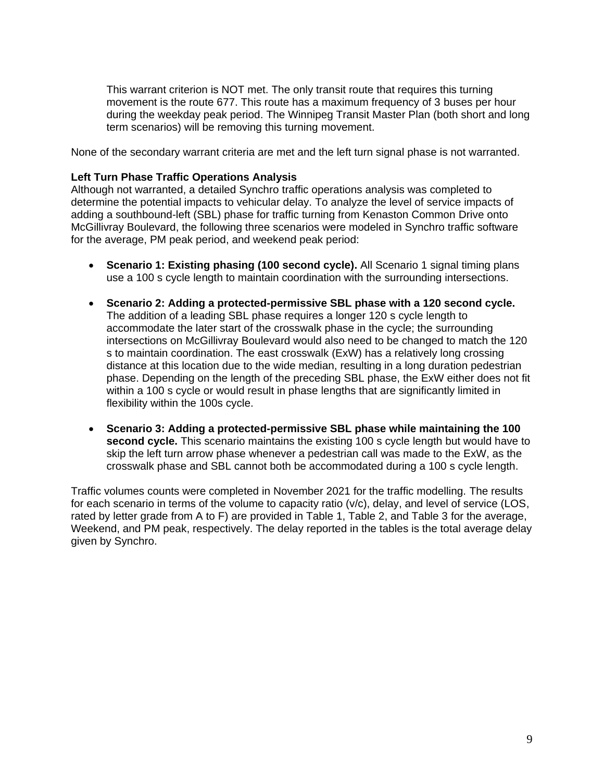This warrant criterion is NOT met. The only transit route that requires this turning movement is the route 677. This route has a maximum frequency of 3 buses per hour during the weekday peak period. The Winnipeg Transit Master Plan (both short and long term scenarios) will be removing this turning movement.

None of the secondary warrant criteria are met and the left turn signal phase is not warranted.

#### **Left Turn Phase Traffic Operations Analysis**

Although not warranted, a detailed Synchro traffic operations analysis was completed to determine the potential impacts to vehicular delay. To analyze the level of service impacts of adding a southbound-left (SBL) phase for traffic turning from Kenaston Common Drive onto McGillivray Boulevard, the following three scenarios were modeled in Synchro traffic software for the average, PM peak period, and weekend peak period:

- **Scenario 1: Existing phasing (100 second cycle).** All Scenario 1 signal timing plans use a 100 s cycle length to maintain coordination with the surrounding intersections.
- **Scenario 2: Adding a protected-permissive SBL phase with a 120 second cycle.** The addition of a leading SBL phase requires a longer 120 s cycle length to accommodate the later start of the crosswalk phase in the cycle; the surrounding intersections on McGillivray Boulevard would also need to be changed to match the 120 s to maintain coordination. The east crosswalk (ExW) has a relatively long crossing distance at this location due to the wide median, resulting in a long duration pedestrian phase. Depending on the length of the preceding SBL phase, the ExW either does not fit within a 100 s cycle or would result in phase lengths that are significantly limited in flexibility within the 100s cycle.
- **Scenario 3: Adding a protected-permissive SBL phase while maintaining the 100 second cycle.** This scenario maintains the existing 100 s cycle length but would have to skip the left turn arrow phase whenever a pedestrian call was made to the ExW, as the crosswalk phase and SBL cannot both be accommodated during a 100 s cycle length.

Traffic volumes counts were completed in November 2021 for the traffic modelling. The results for each scenario in terms of the volume to capacity ratio (v/c), delay, and level of service (LOS, rated by letter grade from A to F) are provided in Table 1, Table 2, and Table 3 for the average, Weekend, and PM peak, respectively. The delay reported in the tables is the total average delay given by Synchro.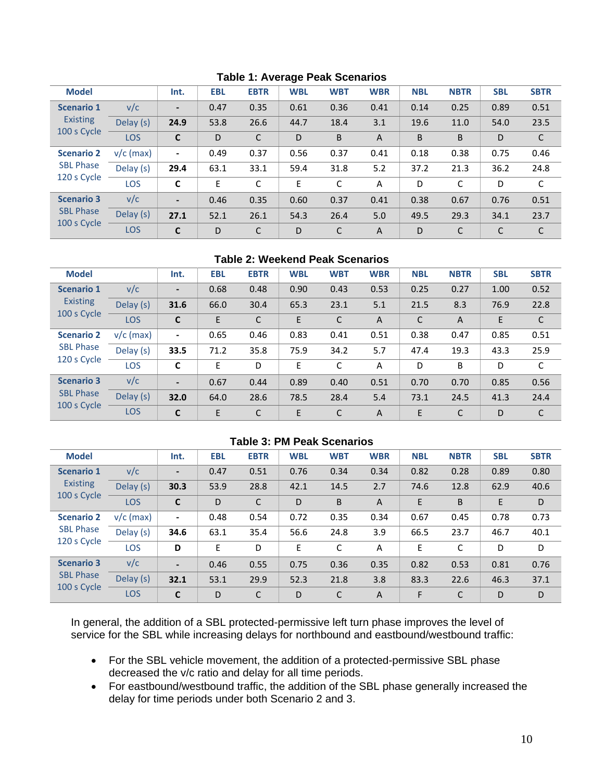| <b>Model</b>                                         |             | Int.                     | <b>EBL</b> | <b>EBTR</b>  | <b>WBL</b> | <b>WBT</b> | <b>WBR</b>     | <b>NBL</b> | <b>NBTR</b>  | <b>SBL</b> | <b>SBTR</b>  |
|------------------------------------------------------|-------------|--------------------------|------------|--------------|------------|------------|----------------|------------|--------------|------------|--------------|
| <b>Scenario 1</b><br><b>Existing</b><br>100 s Cycle  | v/c         | $\overline{\phantom{a}}$ | 0.47       | 0.35         | 0.61       | 0.36       | 0.41           | 0.14       | 0.25         | 0.89       | 0.51         |
|                                                      | Delay (s)   | 24.9                     | 53.8       | 26.6         | 44.7       | 18.4       | 3.1            | 19.6       | 11.0         | 54.0       | 23.5         |
|                                                      | LOS         | $\mathsf{C}$             | D          | $\mathsf{C}$ | D          | B          | $\overline{A}$ | B          | B            | D          | $\mathsf{C}$ |
| <b>Scenario 2</b><br><b>SBL Phase</b><br>120 s Cycle | $v/c$ (max) | $\blacksquare$           | 0.49       | 0.37         | 0.56       | 0.37       | 0.41           | 0.18       | 0.38         | 0.75       | 0.46         |
|                                                      | Delay (s)   | 29.4                     | 63.1       | 33.1         | 59.4       | 31.8       | 5.2            | 37.2       | 21.3         | 36.2       | 24.8         |
|                                                      | <b>LOS</b>  | C                        | E          | C            | Е          | C          | A              | D          | C            | D          | C            |
| <b>Scenario 3</b><br><b>SBL Phase</b><br>100 s Cycle | v/c         | $\overline{\phantom{a}}$ | 0.46       | 0.35         | 0.60       | 0.37       | 0.41           | 0.38       | 0.67         | 0.76       | 0.51         |
|                                                      | Delay (s)   | 27.1                     | 52.1       | 26.1         | 54.3       | 26.4       | 5.0            | 49.5       | 29.3         | 34.1       | 23.7         |
|                                                      | <b>LOS</b>  | $\mathbf c$              | D          | C            | D          | C          | $\overline{A}$ | D          | $\mathsf{C}$ | C          | C            |

## **Table 1: Average Peak Scenarios**

#### **Table 2: Weekend Peak Scenarios**

| <b>Model</b>                                         |             | Int.                         | <b>EBL</b> | <b>EBTR</b>  | <b>WBL</b> | <b>WBT</b> | <b>WBR</b>     | <b>NBL</b> | <b>NBTR</b>    | <b>SBL</b> | <b>SBTR</b>  |
|------------------------------------------------------|-------------|------------------------------|------------|--------------|------------|------------|----------------|------------|----------------|------------|--------------|
| <b>Scenario 1</b><br><b>Existing</b><br>100 s Cycle  | v/c         | $\qquad \qquad \blacksquare$ | 0.68       | 0.48         | 0.90       | 0.43       | 0.53           | 0.25       | 0.27           | 1.00       | 0.52         |
|                                                      | Delay (s)   | 31.6                         | 66.0       | 30.4         | 65.3       | 23.1       | 5.1            | 21.5       | 8.3            | 76.9       | 22.8         |
|                                                      | <b>LOS</b>  | C                            | E          | $\mathsf{C}$ | E          | C          | $\overline{A}$ | C          | $\overline{A}$ | E          | $\mathsf{C}$ |
| <b>Scenario 2</b><br><b>SBL Phase</b><br>120 s Cycle | $v/c$ (max) | $\overline{\phantom{a}}$     | 0.65       | 0.46         | 0.83       | 0.41       | 0.51           | 0.38       | 0.47           | 0.85       | 0.51         |
|                                                      | Delay (s)   | 33.5                         | 71.2       | 35.8         | 75.9       | 34.2       | 5.7            | 47.4       | 19.3           | 43.3       | 25.9         |
|                                                      | LOS         | C                            | E          | D            | E          | C          | A              | D          | B              | D          | C            |
| <b>Scenario 3</b><br><b>SBL Phase</b><br>100 s Cycle | v/c         | $\overline{\phantom{0}}$     | 0.67       | 0.44         | 0.89       | 0.40       | 0.51           | 0.70       | 0.70           | 0.85       | 0.56         |
|                                                      | Delay (s)   | 32.0                         | 64.0       | 28.6         | 78.5       | 28.4       | 5.4            | 73.1       | 24.5           | 41.3       | 24.4         |
|                                                      | <b>LOS</b>  | C                            | E          | C            | E          | С          | A              | E          | $\mathsf{C}$   | D          | C            |

#### **Table 3: PM Peak Scenarios**

| <b>Model</b>                                         |             | Int.                     | <b>EBL</b> | <b>EBTR</b> | <b>WBL</b> | <b>WBT</b> | <b>WBR</b>     | <b>NBL</b> | <b>NBTR</b> | <b>SBL</b> | <b>SBTR</b> |
|------------------------------------------------------|-------------|--------------------------|------------|-------------|------------|------------|----------------|------------|-------------|------------|-------------|
| <b>Scenario 1</b><br><b>Existing</b><br>100 s Cycle  | v/c         | $\overline{\phantom{a}}$ | 0.47       | 0.51        | 0.76       | 0.34       | 0.34           | 0.82       | 0.28        | 0.89       | 0.80        |
|                                                      | Delay (s)   | 30.3                     | 53.9       | 28.8        | 42.1       | 14.5       | 2.7            | 74.6       | 12.8        | 62.9       | 40.6        |
|                                                      | <b>LOS</b>  | C                        | D          | C           | D          | B          | $\overline{A}$ | E          | B           | E          | D           |
| <b>Scenario 2</b><br><b>SBL Phase</b><br>120 s Cycle | $v/c$ (max) | $\overline{\phantom{a}}$ | 0.48       | 0.54        | 0.72       | 0.35       | 0.34           | 0.67       | 0.45        | 0.78       | 0.73        |
|                                                      | Delay (s)   | 34.6                     | 63.1       | 35.4        | 56.6       | 24.8       | 3.9            | 66.5       | 23.7        | 46.7       | 40.1        |
|                                                      | <b>LOS</b>  | D                        | E          | D           | E          | C          | A              | E          | C           | D          | D           |
| <b>Scenario 3</b><br><b>SBL Phase</b><br>100 s Cycle | v/c         | $\overline{\phantom{a}}$ | 0.46       | 0.55        | 0.75       | 0.36       | 0.35           | 0.82       | 0.53        | 0.81       | 0.76        |
|                                                      | Delay (s)   | 32.1                     | 53.1       | 29.9        | 52.3       | 21.8       | 3.8            | 83.3       | 22.6        | 46.3       | 37.1        |
|                                                      | <b>LOS</b>  | C                        | D          | C           | D          | C          | $\mathsf{A}$   | F          | C           | D          | D           |

In general, the addition of a SBL protected-permissive left turn phase improves the level of service for the SBL while increasing delays for northbound and eastbound/westbound traffic:

- For the SBL vehicle movement, the addition of a protected-permissive SBL phase decreased the v/c ratio and delay for all time periods.
- For eastbound/westbound traffic, the addition of the SBL phase generally increased the delay for time periods under both Scenario 2 and 3.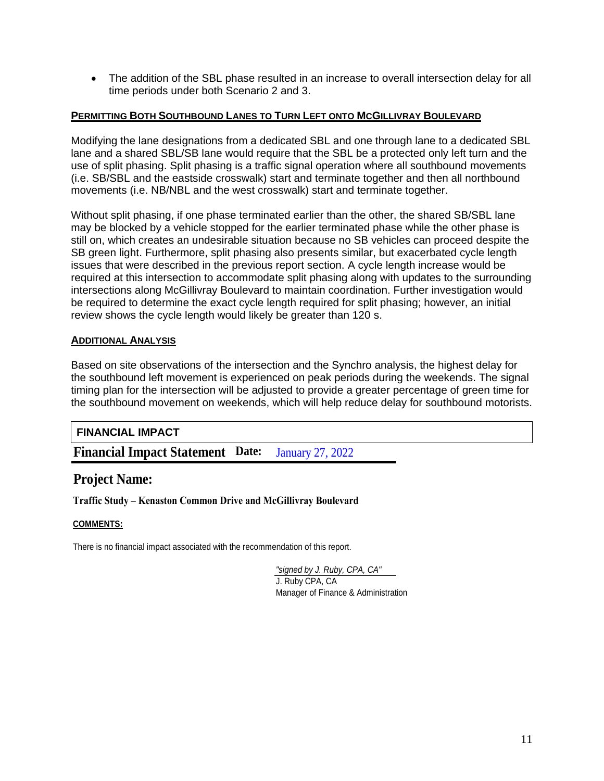• The addition of the SBL phase resulted in an increase to overall intersection delay for all time periods under both Scenario 2 and 3.

#### **PERMITTING BOTH SOUTHBOUND LANES TO TURN LEFT ONTO MCGILLIVRAY BOULEVARD**

Modifying the lane designations from a dedicated SBL and one through lane to a dedicated SBL lane and a shared SBL/SB lane would require that the SBL be a protected only left turn and the use of split phasing. Split phasing is a traffic signal operation where all southbound movements (i.e. SB/SBL and the eastside crosswalk) start and terminate together and then all northbound movements (i.e. NB/NBL and the west crosswalk) start and terminate together.

Without split phasing, if one phase terminated earlier than the other, the shared SB/SBL lane may be blocked by a vehicle stopped for the earlier terminated phase while the other phase is still on, which creates an undesirable situation because no SB vehicles can proceed despite the SB green light. Furthermore, split phasing also presents similar, but exacerbated cycle length issues that were described in the previous report section. A cycle length increase would be required at this intersection to accommodate split phasing along with updates to the surrounding intersections along McGillivray Boulevard to maintain coordination. Further investigation would be required to determine the exact cycle length required for split phasing; however, an initial review shows the cycle length would likely be greater than 120 s.

#### **ADDITIONAL ANALYSIS**

Based on site observations of the intersection and the Synchro analysis, the highest delay for the southbound left movement is experienced on peak periods during the weekends. The signal timing plan for the intersection will be adjusted to provide a greater percentage of green time for the southbound movement on weekends, which will help reduce delay for southbound motorists.

## **FINANCIAL IMPACT**

**Financial Impact Statement Date:**  January 27, 2022

# **Project Name:**

**Traffic Study – Kenaston Common Drive and McGillivray Boulevard**

#### **COMMENTS:**

There is no financial impact associated with the recommendation of this report.

*"signed by J. Ruby, CPA, CA"* J. Ruby CPA, CA Manager of Finance & Administration